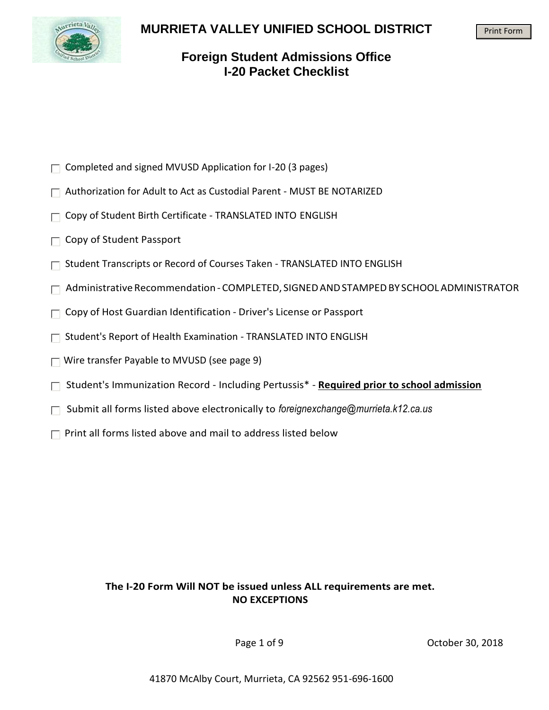

## **MURRIETA VALLEY UNIFIED SCHOOL DISTRICT**

#### Print Form

## **Foreign Student Admissions Office I-20 Packet Checklist**

- $\Box$  Completed and signed MVUSD Application for I-20 (3 pages)
- □ Authorization for Adult to Act as Custodial Parent MUST BE NOTARIZED
- $\Box$  Copy of Student Birth Certificate TRANSLATED INTO ENGLISH
- $\Box$  Copy of Student Passport
- $\Box$  Student Transcripts or Record of Courses Taken TRANSLATED INTO ENGLISH
- $\Box$  Administrative Recommendation COMPLETED, SIGNED AND STAMPED BY SCHOOL ADMINISTRATOR
- $\Box$  Copy of Host Guardian Identification Driver's License or Passport
- $\Box$  Student's Report of Health Examination TRANSLATED INTO ENGLISH
- $\Box$  Wire transfer Payable to MVUSD (see page 9)
- Student's Immunization Record Including Pertussis\* **Required prior to school admission**
- Submit all forms listed above electronically to *[foreignexchange@murrieta.k12.ca.us](mailto:foreignexchange@murrieta.k12.ca.us)*
- $\Box$  Print all forms listed above and mail to address listed below

### **The I-20 Form Will NOT be issued unless ALL requirements are met. NO EXCEPTIONS**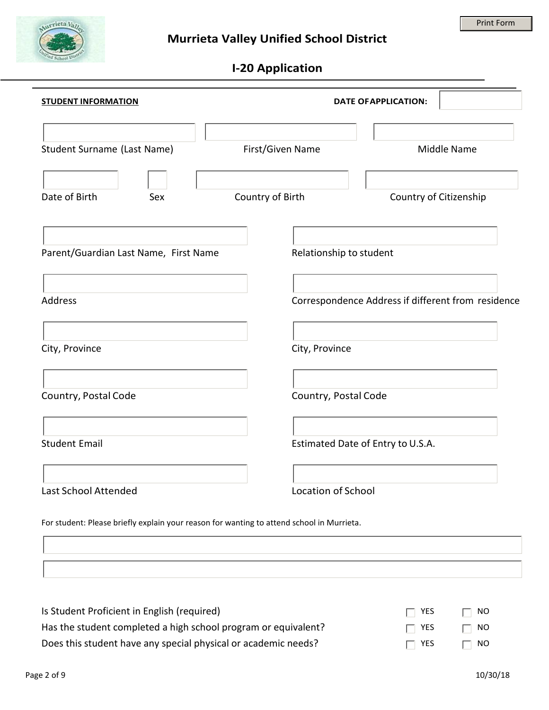

# **I-20 Application**

| <b>STUDENT INFORMATION</b>                                                                |                         | <b>DATE OF APPLICATION:</b>                        |
|-------------------------------------------------------------------------------------------|-------------------------|----------------------------------------------------|
| Student Surname (Last Name)                                                               | First/Given Name        | Middle Name                                        |
| Date of Birth<br>Sex                                                                      | Country of Birth        | Country of Citizenship                             |
| Parent/Guardian Last Name, First Name                                                     | Relationship to student |                                                    |
| <b>Address</b>                                                                            |                         | Correspondence Address if different from residence |
| City, Province                                                                            | City, Province          |                                                    |
| Country, Postal Code                                                                      | Country, Postal Code    |                                                    |
| <b>Student Email</b>                                                                      |                         | Estimated Date of Entry to U.S.A.                  |
| Last School Attended                                                                      | Location of School      |                                                    |
| For student: Please briefly explain your reason for wanting to attend school in Murrieta. |                         |                                                    |

| Is Student Proficient in English (required)                    | $\Box$ YES | $\Box$ NO |
|----------------------------------------------------------------|------------|-----------|
| Has the student completed a high school program or equivalent? | $\Box$ YES | $\Box$ NO |
| Does this student have any special physical or academic needs? | $\Box$ YES | $\Box$ NO |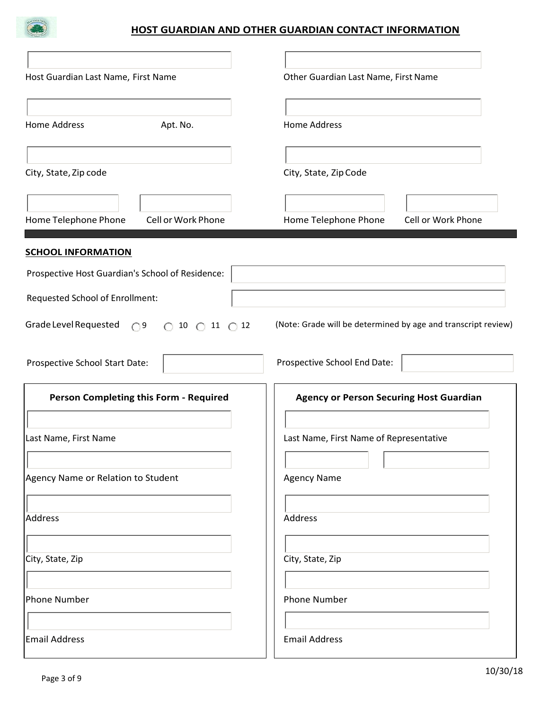

### **HOST GUARDIAN AND OTHER GUARDIAN CONTACT INFORMATION**

| Host Guardian Last Name, First Name                                                  | Other Guardian Last Name, First Name                          |
|--------------------------------------------------------------------------------------|---------------------------------------------------------------|
| <b>Home Address</b><br>Apt. No.                                                      | <b>Home Address</b>                                           |
| City, State, Zip code                                                                | City, State, Zip Code                                         |
| Home Telephone Phone<br>Cell or Work Phone                                           | Home Telephone Phone<br>Cell or Work Phone                    |
| <b>SCHOOL INFORMATION</b>                                                            |                                                               |
| Prospective Host Guardian's School of Residence:                                     |                                                               |
| Requested School of Enrollment:                                                      |                                                               |
| Grade Level Requested<br>O <sup>9</sup><br>$\bigcirc$ 10 $\bigcirc$ 11 $\bigcirc$ 12 | (Note: Grade will be determined by age and transcript review) |
| Prospective School Start Date:                                                       | Prospective School End Date:                                  |
| Person Completing this Form - Required                                               | <b>Agency or Person Securing Host Guardian</b>                |
| Last Name, First Name                                                                | Last Name, First Name of Representative                       |
| Agency Name or Relation to Student                                                   | <b>Agency Name</b>                                            |
| Address                                                                              | Address                                                       |
| City, State, Zip                                                                     | City, State, Zip                                              |
| Phone Number                                                                         | <b>Phone Number</b>                                           |
| Email Address                                                                        | <b>Email Address</b>                                          |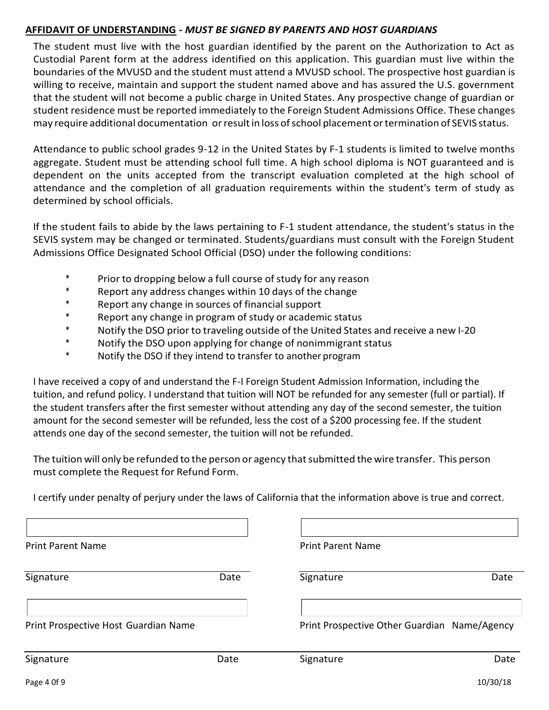### **AFFIDAVIT OF UNDERSTANDING -** *MUST BE SIGNED BY PARENTS AND HOST GUARDIANS*

The student must live with the host guardian identified by the parent on the Authorization to Act as Custodial Parent form at the address identified on this application. This guardian must live within the boundaries of the MVUSD and the student must attend a MVUSD school. The prospective host guardian is willing to receive, maintain and support the student named above and has assured the U.S. government that the student will not become a public charge in United States. Any prospective change of guardian or student residence must be reported immediately to the Foreign Student Admissions Office. These changes may require additional documentation or result in loss of school placement or termination of SEVIS status.

Attendance to public school grades 9-12 in the United States by F-1 students is limited to twelve months aggregate. Student must be attending school full time. A high school diploma is NOT guaranteed and is dependent on the units accepted from the transcript evaluation completed at the high school of attendance and the completion of all graduation requirements within the student's term of study as determined by school officials.

If the student fails to abide by the laws pertaining to F-1 student attendance, the student's status in the SEVIS system may be changed or terminated. Students/guardians must consult with the Foreign Student Admissions Office Designated School Official (DSO) under the following conditions:

- \* Prior to dropping below a full course of study for any reason
- \* Report any address changes within 10 days of the change
- \* Report any change in sources of financial support<br>\* Report any change in program of study or academ
- \* Report any change in program of study or academic status
- Notify the DSO prior to traveling outside of the United States and receive a new I-20
- \* Notify the DSO upon applying for change of nonimmigrant status
- \* Notify the DSO if they intend to transfer to another program

I have received a copy of and understand the F-I Foreign Student Admission Information, including the tuition, and refund policy. I understand that tuition will NOT be refunded for any semester (full or partial). If the student transfers after the first semester without attending any day of the second semester, the tuition amount for the second semester will be refunded, less the cost of a \$200 processing fee. If the student attends one day of the second semester, the tuition will not be refunded.

The tuition will only be refunded to the person or agency thatsubmitted the wire transfer. This person must complete the Request for Refund Form.

I certify under penalty of perjury under the laws of California that the information above is true and correct.

| <b>Print Parent Name</b>             |      | <b>Print Parent Name</b>                     |      |
|--------------------------------------|------|----------------------------------------------|------|
| Signature                            | Date | Signature                                    | Date |
| Print Prospective Host Guardian Name |      | Print Prospective Other Guardian Name/Agency |      |
| Signature                            | Date | Signature                                    | Date |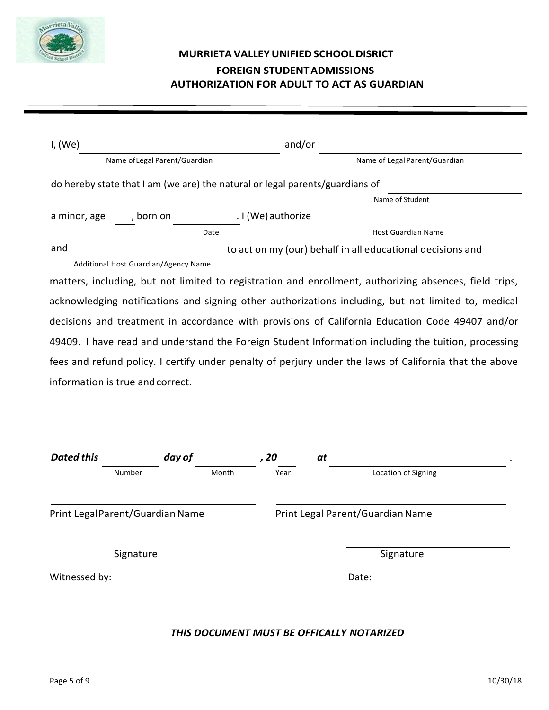

## **MURRIETA VALLEYUNIFIEDSCHOOLDISRICT FOREIGN STUDENTADMISSIONS AUTHORIZATION FOR ADULT TO ACT AS GUARDIAN**

| I, (We)                                                                                                |                                                                              |                    | and/or                                                                                                 |
|--------------------------------------------------------------------------------------------------------|------------------------------------------------------------------------------|--------------------|--------------------------------------------------------------------------------------------------------|
|                                                                                                        | Name of Legal Parent/Guardian                                                |                    | Name of Legal Parent/Guardian                                                                          |
|                                                                                                        | do hereby state that I am (we are) the natural or legal parents/guardians of |                    |                                                                                                        |
|                                                                                                        |                                                                              |                    | Name of Student                                                                                        |
| a minor, age                                                                                           | , born on                                                                    | . I (We) authorize |                                                                                                        |
|                                                                                                        | Date                                                                         |                    | <b>Host Guardian Name</b>                                                                              |
| and                                                                                                    |                                                                              |                    | to act on my (our) behalf in all educational decisions and                                             |
|                                                                                                        | Additional Host Guardian/Agency Name                                         |                    |                                                                                                        |
|                                                                                                        |                                                                              |                    | matters, including, but not limited to registration and enrollment, authorizing absences, field trips, |
|                                                                                                        |                                                                              |                    | acknowledging notifications and signing other authorizations including, but not limited to, medical    |
|                                                                                                        |                                                                              |                    | decisions and treatment in accordance with provisions of California Education Code 49407 and/or        |
| 49409. I have read and understand the Foreign Student Information including the tuition, processing    |                                                                              |                    |                                                                                                        |
| fees and refund policy. I certify under penalty of perjury under the laws of California that the above |                                                                              |                    |                                                                                                        |
| information is true and correct.                                                                       |                                                                              |                    |                                                                                                        |
|                                                                                                        |                                                                              |                    |                                                                                                        |

| <b>Dated this</b> |                                 | day of | , 20 | at                               |  |
|-------------------|---------------------------------|--------|------|----------------------------------|--|
|                   | Number                          | Month  | Year | Location of Signing              |  |
|                   | Print LegalParent/Guardian Name |        |      | Print Legal Parent/Guardian Name |  |
|                   | Signature                       |        |      | Signature                        |  |
| Witnessed by:     |                                 |        |      | Date:                            |  |
|                   |                                 |        |      |                                  |  |

#### *THIS DOCUMENT MUST BE OFFICALLY NOTARIZED*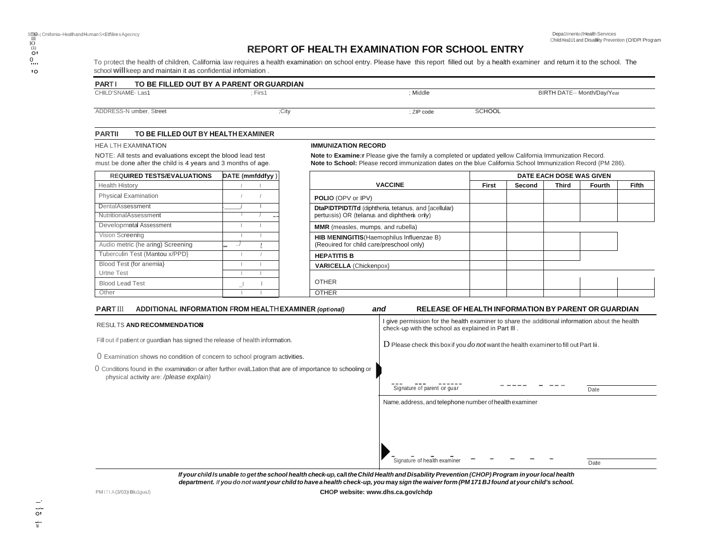### **REPORT OF HEALTH EXAMINATION FOR SCHOOL ENTRY**

To protect the health of children, California law requires a health examination on school entry. Please have this report filled out by a health examiner and return it to the school. The school **will**keep and maintain it as confidential infomiation .

| <b>PARTI</b>           | TO BE FILLED OUT BY A PARENT OR GUARDIAN                                                                                   |                 |                                                                                                                                                                                                                        |               |        |                          |                             |       |
|------------------------|----------------------------------------------------------------------------------------------------------------------------|-----------------|------------------------------------------------------------------------------------------------------------------------------------------------------------------------------------------------------------------------|---------------|--------|--------------------------|-----------------------------|-------|
| CHILD'SNAME-Las1       |                                                                                                                            | : First 1       | ; Middle                                                                                                                                                                                                               |               |        |                          | BIRTH DATE-- Month/Day/Year |       |
|                        | ADDRESS-N umber. Street                                                                                                    | :City           | : ZIP code                                                                                                                                                                                                             | <b>SCHOOL</b> |        |                          |                             |       |
| <b>PARTIL</b>          | TO BE FILLED OUT BY HEALTH EXAMINER                                                                                        |                 |                                                                                                                                                                                                                        |               |        |                          |                             |       |
|                        | <b>HEA LTH EXAMINATION</b>                                                                                                 |                 | <b>IMMUNIZATION RECORD</b>                                                                                                                                                                                             |               |        |                          |                             |       |
|                        | NOTE: All tests and evaluations except the blood lead test<br>must be done after the child is 4 years and 3 months of age. |                 | Note to Examine:r Please give the family a completed or updated yellow California Immunization Record.<br>Note to School: Please record immunization dates on the blue California School Immunization Record (PM 286). |               |        |                          |                             |       |
|                        | <b>REQUIRED TESTS/EVALUATIONS</b>                                                                                          | DATE (mmfddfyy) |                                                                                                                                                                                                                        |               |        | DATE EACH DOSE WAS GIVEN |                             |       |
| <b>Health History</b>  |                                                                                                                            |                 | <b>VACCINE</b>                                                                                                                                                                                                         | First         | Second | <b>Third</b>             | Fourth                      | Fifth |
|                        | <b>Physical Examination</b>                                                                                                |                 | <b>POLIO (OPV or IPV)</b>                                                                                                                                                                                              |               |        |                          |                             |       |
| DentalAssessment       |                                                                                                                            |                 | DtaPIDTPIDT/Td (diphtheria, tetanus, and [acellular)                                                                                                                                                                   |               |        |                          |                             |       |
|                        | <b>NutritionalAssessment</b>                                                                                               |                 | pertussis) OR (telanus and diphthera only)                                                                                                                                                                             |               |        |                          |                             |       |
|                        | Developmatal Assessment                                                                                                    |                 | MMR (measles, mumps, and rubella)                                                                                                                                                                                      |               |        |                          |                             |       |
| Vision Screening       |                                                                                                                            |                 | HIB MENINGITIS (Haemophilus Influenzae B)                                                                                                                                                                              |               |        |                          |                             |       |
|                        | Audio metric (he aring) Screening                                                                                          |                 | (Reouired for child care/preschool only)                                                                                                                                                                               |               |        |                          |                             |       |
|                        | Tuberculin Test (Mantou x/PPD}                                                                                             |                 | <b>HEPATITIS B</b>                                                                                                                                                                                                     |               |        |                          |                             |       |
|                        | Blood Test (for anemia)                                                                                                    |                 | <b>VARICELLA (Chickenpox)</b>                                                                                                                                                                                          |               |        |                          |                             |       |
|                        |                                                                                                                            |                 |                                                                                                                                                                                                                        |               |        |                          |                             |       |
| Urtne Test             |                                                                                                                            |                 | <b>OTHER</b>                                                                                                                                                                                                           |               |        |                          |                             |       |
| <b>Blood Lead Test</b> |                                                                                                                            |                 |                                                                                                                                                                                                                        |               |        |                          |                             |       |

#### **RESULTS AND RECOMM**

### I give permission for the health examiner to share the additional information about the health

| RESULTS AND RECOMMENDATION                                                                                                                         | T give permission for the nearly examiner to share the additional imomiation about the nearly<br>check-up with the school as explained in Part III. |
|----------------------------------------------------------------------------------------------------------------------------------------------------|-----------------------------------------------------------------------------------------------------------------------------------------------------|
| Fill out if patient or quardian has signed the release of health information.                                                                      | $D$ Please check this box if you do not want the health examiner to fill out Part Iii.                                                              |
| O Examination shows no condition of concern to school program activities.                                                                          |                                                                                                                                                     |
| Conditions found in the examination or after further evalL1ation that are of importance to schooling or<br>physical activity are: /please explain) |                                                                                                                                                     |
|                                                                                                                                                    | Signature of parent or quar<br>Date                                                                                                                 |
|                                                                                                                                                    | Name, address, and telephone number of health examiner                                                                                              |
|                                                                                                                                                    |                                                                                                                                                     |
|                                                                                                                                                    |                                                                                                                                                     |
|                                                                                                                                                    |                                                                                                                                                     |
|                                                                                                                                                    | Signature of health examiner<br>Date                                                                                                                |
| <u>Kuawabild la wakla ta wattha sabaal baalth abaalu wa sall tha Child Haalth and Disability Duayantian (CHOD) Duayyang in wu laasl baalth</u>     |                                                                                                                                                     |

If your child Is unable to get the school health check-up, call the Child Health and Disability Prevention (CHOP) Program in your local health department. If you do not want your child to have a health check-up, you may sign the waiver form (PM 171 BJ found at your child's school.

PM171A(3/03)iBilu1guaJ)

**CHOP website: [www.dhs.ca.gov/chdp](http://www.dhs.ca.gov/chdp)**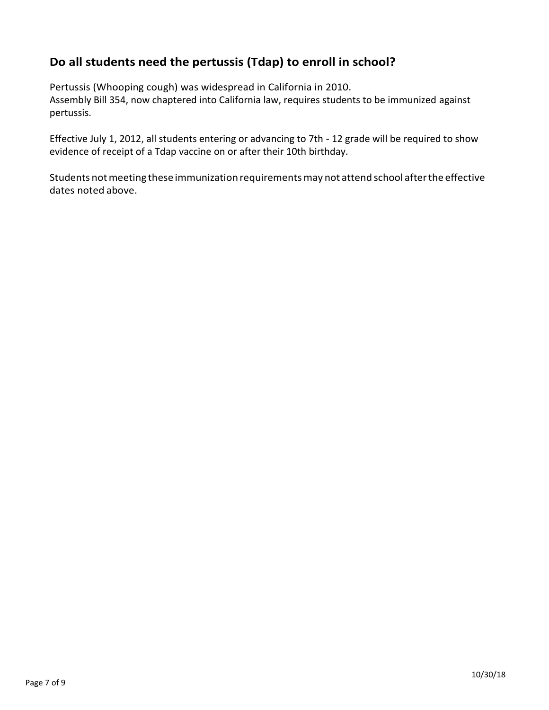## **Do all students need the pertussis (Tdap) to enroll in school?**

Pertussis (Whooping cough) was widespread in California in 2010.

Assembly Bill 354, now chaptered into California law, requires students to be immunized against pertussis.

Effective July 1, 2012, all students entering or advancing to 7th - 12 grade will be required to show evidence of receipt of a Tdap vaccine on or after their 10th birthday.

Students not meeting these immunization requirements may not attend school after the effective dates noted above.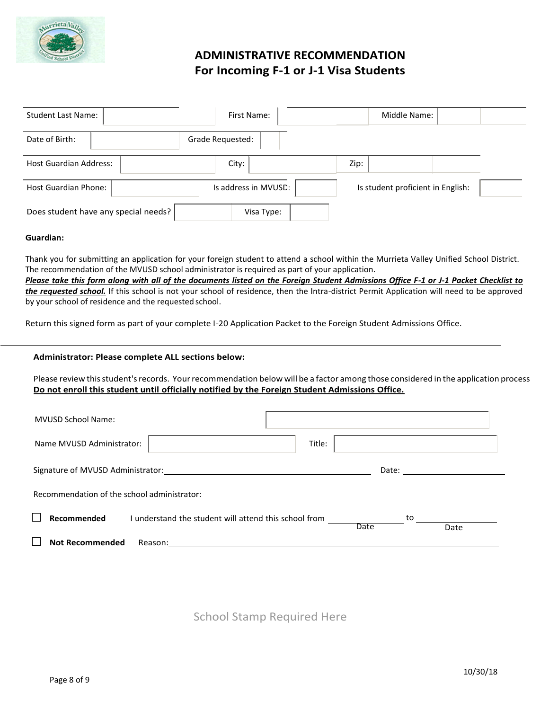

## **ADMINISTRATIVE RECOMMENDATION For Incoming F-1 or J-1 Visa Students**

| <b>Student Last Name:</b>            | First Name:          | Middle Name:                      |  |
|--------------------------------------|----------------------|-----------------------------------|--|
| Date of Birth:                       | Grade Requested:     |                                   |  |
| <b>Host Guardian Address:</b>        | City:                | Zip:                              |  |
| <b>Host Guardian Phone:</b>          | Is address in MVUSD: | Is student proficient in English: |  |
| Does student have any special needs? | Visa Type:           |                                   |  |

#### **Guardian:**

Thank you for submitting an application for your foreign student to attend a school within the Murrieta Valley Unified School District. The recommendation of the MVUSD school administrator is required as part of your application.

*Please take this form along with all of the documents listed on the Foreign Student Admissions Office F-1 or J-1 Packet Checklist to the requested school.* If this school is not your school of residence, then the Intra-district Permit Application will need to be approved by your school of residence and the requested school.

Return this signed form as part of your complete I-20 Application Packet to the Foreign Student Admissions Office.

#### **Administrator: Please complete ALL sections below:**

Please review this student's records. Your recommendation below will be a factor among those considered in the application process **Do not enroll this student until officially notified by the Foreign Student Admissions Office.**

| <b>MVUSD School Name:</b>                   |                                                                     |        |                                                                                                                                                                                                                                |      |
|---------------------------------------------|---------------------------------------------------------------------|--------|--------------------------------------------------------------------------------------------------------------------------------------------------------------------------------------------------------------------------------|------|
| Name MVUSD Administrator:                   |                                                                     | Title: |                                                                                                                                                                                                                                |      |
|                                             | Signature of MVUSD Administrator: Signature of MVUSD Administrator: |        | Date: the contract of the contract of the contract of the contract of the contract of the contract of the contract of the contract of the contract of the contract of the contract of the contract of the contract of the cont |      |
| Recommendation of the school administrator: |                                                                     |        |                                                                                                                                                                                                                                |      |
| Recommended                                 | I understand the student will attend this school from               | Date   | to the contract of the contract of the contract of the contract of the contract of the contract of the contract of the contract of the contract of the contract of the contract of the contract of the contract of the contrac | Date |
| <b>Not Recommended</b>                      | Reason:                                                             |        |                                                                                                                                                                                                                                |      |

School Stamp Required Here